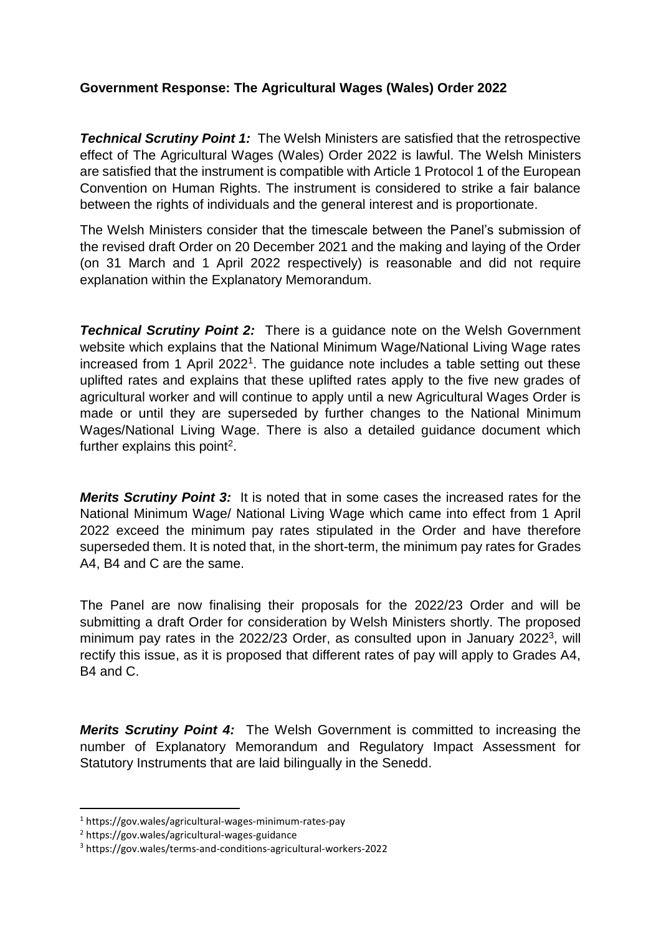## **Government Response: The Agricultural Wages (Wales) Order 2022**

*Technical Scrutiny Point 1:* The Welsh Ministers are satisfied that the retrospective effect of The Agricultural Wages (Wales) Order 2022 is lawful. The Welsh Ministers are satisfied that the instrument is compatible with Article 1 Protocol 1 of the European Convention on Human Rights. The instrument is considered to strike a fair balance between the rights of individuals and the general interest and is proportionate.

The Welsh Ministers consider that the timescale between the Panel's submission of the revised draft Order on 20 December 2021 and the making and laying of the Order (on 31 March and 1 April 2022 respectively) is reasonable and did not require explanation within the Explanatory Memorandum.

**Technical Scrutiny Point 2:** There is a guidance note on the Welsh Government website which explains that the National Minimum Wage/National Living Wage rates increased from 1 April 2022<sup>1</sup>. The guidance note includes a table setting out these uplifted rates and explains that these uplifted rates apply to the five new grades of agricultural worker and will continue to apply until a new Agricultural Wages Order is made or until they are superseded by further changes to the National Minimum Wages/National Living Wage. There is also a detailed guidance document which further explains this point<sup>2</sup>.

*Merits Scrutiny Point 3:* It is noted that in some cases the increased rates for the National Minimum Wage/ National Living Wage which came into effect from 1 April 2022 exceed the minimum pay rates stipulated in the Order and have therefore superseded them. It is noted that, in the short-term, the minimum pay rates for Grades A4, B4 and C are the same.

The Panel are now finalising their proposals for the 2022/23 Order and will be submitting a draft Order for consideration by Welsh Ministers shortly. The proposed minimum pay rates in the 2022/23 Order, as consulted upon in January 2022 $^3$ , will rectify this issue, as it is proposed that different rates of pay will apply to Grades A4, B4 and C.

*Merits Scrutiny Point 4:* The Welsh Government is committed to increasing the number of Explanatory Memorandum and Regulatory Impact Assessment for Statutory Instruments that are laid bilingually in the Senedd.

**.** 

<sup>1</sup> https://gov.wales/agricultural-wages-minimum-rates-pay

<sup>2</sup> https://gov.wales/agricultural-wages-guidance

<sup>3</sup> https://gov.wales/terms-and-conditions-agricultural-workers-2022